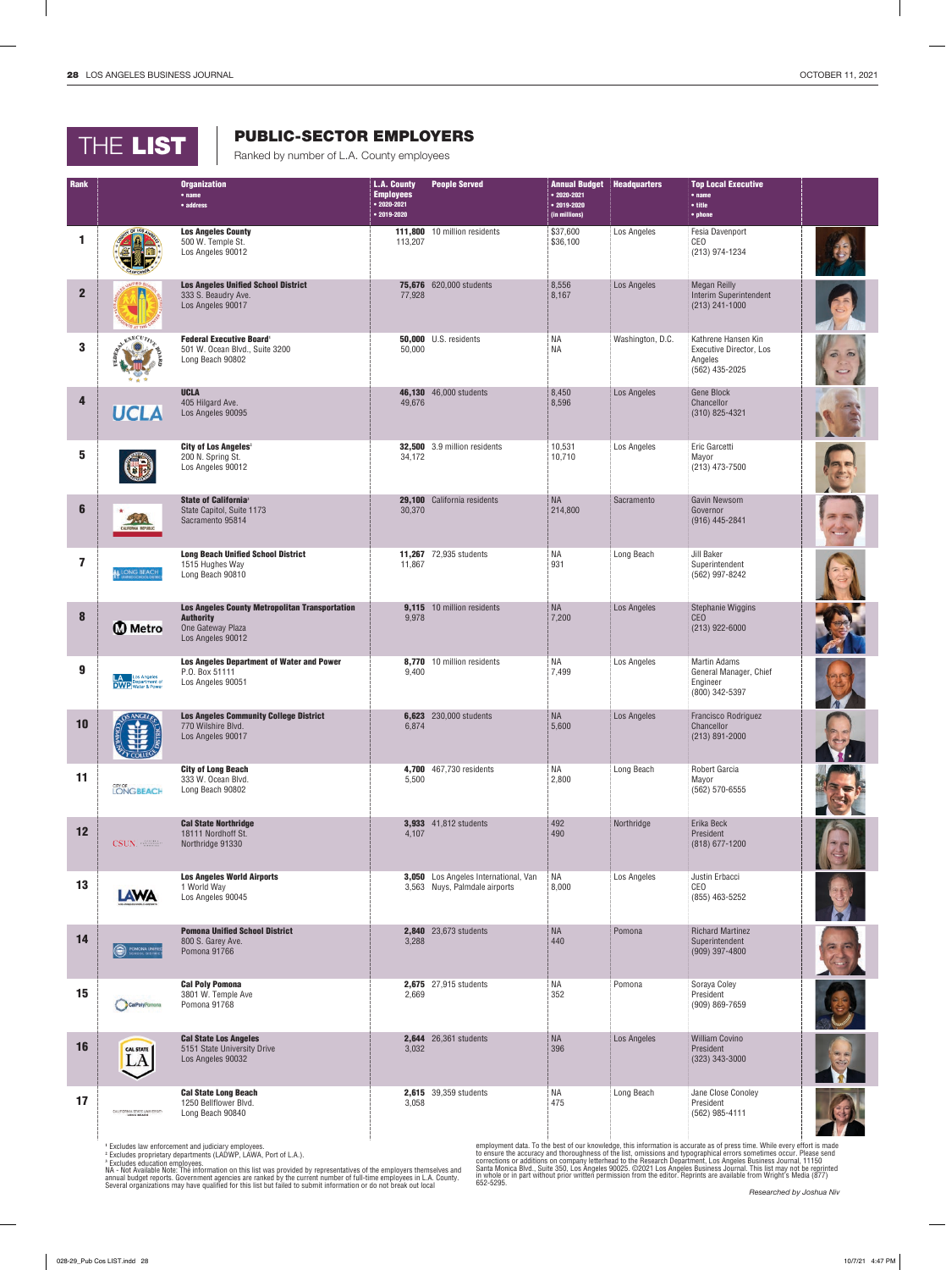## THE LIST

## PUBLIC-SECTOR EMPLOYERS

Ranked by number of L.A. County employees

| Rank           |                                     | <b>Organization</b><br>$•$ name                                                                                     | <b>L.A. County</b><br><b>Employees</b> | <b>People Served</b>                                                  | <b>Annual Budget</b><br>$• 2020 - 2021$ | <b>Headquarters</b> | <b>Top Local Executive</b><br>$•$ name                                             |  |
|----------------|-------------------------------------|---------------------------------------------------------------------------------------------------------------------|----------------------------------------|-----------------------------------------------------------------------|-----------------------------------------|---------------------|------------------------------------------------------------------------------------|--|
|                |                                     | • address                                                                                                           | $• 2020 - 2021$<br>$• 2019 - 2020$     |                                                                       | $• 2019 - 2020$<br>(in millions)        |                     | • title<br>• phone                                                                 |  |
| 1              |                                     | <b>Los Angeles County</b><br>500 W. Temple St.<br>Los Angeles 90012                                                 | 113,207                                | 111,800 10 million residents                                          | \$37,600<br>\$36,100                    | Los Angeles         | Fesia Davenport<br>CEO<br>(213) 974-1234                                           |  |
| $\overline{2}$ |                                     | <b>Los Angeles Unified School District</b><br>333 S. Beaudry Ave.<br>Los Angeles 90017                              | 77,928                                 | 75,676 620,000 students                                               | 8,556<br>8,167                          | Los Angeles         | <b>Megan Reilly</b><br>Interim Superintendent<br>$(213) 241 - 1000$                |  |
| 3              | EXECUTIVE                           | <b>Federal Executive Board'</b><br>501 W. Ocean Blvd., Suite 3200<br>Long Beach 90802                               | 50,000                                 | <b>50,000</b> U.S. residents                                          | <b>NA</b><br><b>NA</b>                  | Washington, D.C.    | Kathrene Hansen Kin<br><b>Executive Director, Los</b><br>Angeles<br>(562) 435-2025 |  |
| 4              | <b>UCLA</b>                         | <b>UCLA</b><br>405 Hilgard Ave.<br>Los Angeles 90095                                                                | 49,676                                 | 46,130 46,000 students                                                | 8,450<br>8,596                          | Los Angeles         | <b>Gene Block</b><br>Chancellor<br>$(310)$ 825-4321                                |  |
| 5              |                                     | City of Los Angeles <sup>2</sup><br>200 N. Spring St.<br>Los Angeles 90012                                          | 34,172                                 | 32,500 3.9 million residents                                          | 10,531<br>10,710                        | Los Angeles         | Eric Garcetti<br>Mayor<br>(213) 473-7500                                           |  |
| $6\phantom{1}$ | 252<br>ALIFORNIA REPUBLIC           | <b>State of California</b> <sup>3</sup><br>State Capitol, Suite 1173<br>Sacramento 95814                            | 30,370                                 | 29,100 California residents                                           | <b>NA</b><br>214,800                    | Sacramento          | <b>Gavin Newsom</b><br>Governor<br>$(916)$ 445-2841                                |  |
| 7              | LONG BEACH                          | <b>Long Beach Unified School District</b><br>1515 Hughes Way<br>Long Beach 90810                                    | 11,867                                 | 11,267 72,935 students                                                | ΝA<br>931                               | Long Beach          | Jill Baker<br>Superintendent<br>(562) 997-8242                                     |  |
| 8              | <b>Metro</b>                        | <b>Los Angeles County Metropolitan Transportation</b><br><b>Authority</b><br>One Gateway Plaza<br>Los Angeles 90012 | 9,115<br>9,978                         | 10 million residents                                                  | <b>NA</b><br>7,200                      | Los Angeles         | Stephanie Wiggins<br><b>CEO</b><br>$(213)$ 922-6000                                |  |
| 9              | LA Los Angeles<br>DWP Water & Power | <b>Los Angeles Department of Water and Power</b><br>P.O. Box 51111<br>Los Angeles 90051                             | 9,400                                  | 8,770 10 million residents                                            | ΝA<br>7,499                             | Los Angeles         | <b>Martin Adams</b><br>General Manager, Chief<br>Engineer<br>(800) 342-5397        |  |
| 10             | 남<br><b><i>Pr</i></b> COLLEQ        | <b>Los Angeles Community College District</b><br>770 Wilshire Blvd.<br>Los Angeles 90017                            | 6,874                                  | 6,623 $230,000$ students                                              | <b>NA</b><br>5,600                      | Los Angeles         | <b>Francisco Rodriguez</b><br>Chancellor<br>$(213) 891 - 2000$                     |  |
| 11             | <b>LONGBEACH</b>                    | <b>City of Long Beach</b><br>333 W. Ocean Blvd.<br>Long Beach 90802                                                 | 5,500                                  | 4,700 467,730 residents                                               | <b>NA</b><br>2,800                      | Long Beach          | Robert Garcia<br>Mayor<br>(562) 570-6555                                           |  |
| 12             | CSUN <b>WEBSING</b>                 | <b>Cal State Northridge</b><br>18111 Nordhoff St.<br>Northridge 91330                                               | 4,107                                  | 3,933 41,812 students                                                 | 492<br>490                              | Northridge          | Erika Beck<br>President<br>$(818)$ 677-1200                                        |  |
| 13             | LAWA                                | <b>Los Angeles World Airports</b><br>1 World Way<br>Los Angeles 90045                                               |                                        | 3,050 Los Angeles International, Van<br>3,563 Nuys, Palmdale airports | <b>NA</b><br>8,000                      | Los Angeles         | Justin Erbacci<br>CEO<br>(855) 463-5252                                            |  |
| 14             | POMONA UNIFIED<br>$\circledcirc$    | <b>Pomona Unified School District</b><br>800 S. Garey Ave.<br>Pomona 91766                                          | 3,288                                  | 2,840 23,673 students                                                 | <b>NA</b><br>440                        | Pomona              | <b>Richard Martinez</b><br>Superintendent<br>$(909)$ 397-4800                      |  |
| 15             | CalPolyPornona                      | <b>Cal Poly Pomona</b><br>3801 W. Temple Ave<br>Pomona 91768                                                        | 2,669                                  | 2,675 27,915 students                                                 | ΝA<br>352                               | Pomona              | Soraya Coley<br>President<br>$(909)$ 869-7659                                      |  |
| 16             | <b>CAL STATE</b>                    | <b>Cal State Los Angeles</b><br>5151 State University Drive<br>Los Angeles 90032                                    | 3,032                                  | 2,644 26,361 students                                                 | <b>NA</b><br>396                        | Los Angeles         | <b>William Covino</b><br>President<br>(323) 343-3000                               |  |
| 17             | CALIFORNIA STATE UNIVERSITY         | <b>Cal State Long Beach</b><br>1250 Bellflower Blvd.<br>Long Beach 90840                                            | 3,058                                  | 2,615 39,359 students                                                 | <b>NA</b><br>475                        | Long Beach          | Jane Close Conoley<br>President<br>(562) 985-4111                                  |  |

' Excludes law enforcement and judiciary employees.<br><sup>2</sup> Excludes proprietary departments (LADWP, LAWA, Port of L.A.).<br><sup>3</sup> Excludes education employees.<br>NA - Not Available Note: The information on this list was provided by

employment data. To the best of our knowledge, this information is accurate as of press time. While every effort is made<br>to ensure the accuracy and thoroughness of the list, omissions and typographical errors sometimes occ